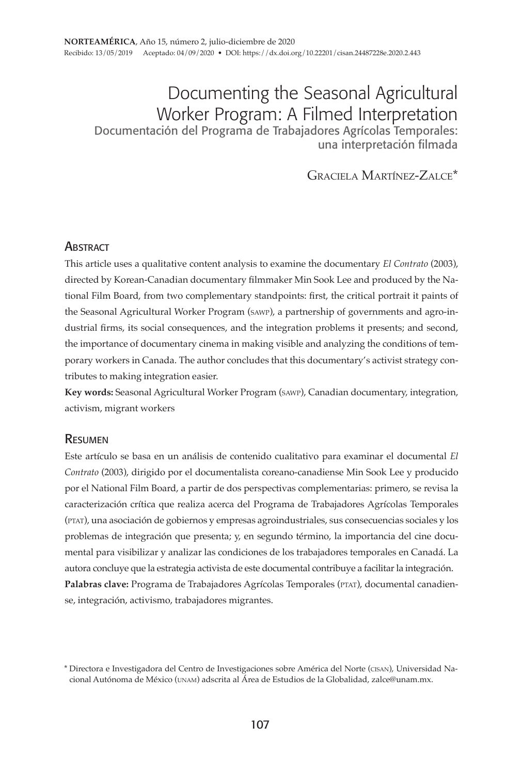# Documenting the Seasonal Agricultural Worker Program: A Filmed Interpretation Documentación del Programa de Trabajadores Agrícolas Temporales:

una interpretación filmada

Graciela Martínez-Zalce\*

## **ABSTRACT**

This article uses a qualitative content analysis to examine the documentary *El Contrato* (2003), directed by Korean-Canadian documentary filmmaker Min Sook Lee and produced by the National Film Board, from two complementary standpoints: first, the critical portrait it paints of the Seasonal Agricultural Worker Program (sawp), a partnership of governments and agro-industrial firms, its social consequences, and the integration problems it presents; and second, the importance of documentary cinema in making visible and analyzing the conditions of temporary workers in Canada. The author concludes that this documentary's activist strategy contributes to making integration easier.

**Key words:** Seasonal Agricultural Worker Program (sawp), Canadian documentary, integration, activism, migrant workers

#### **RESUMEN**

Este artículo se basa en un análisis de contenido cualitativo para examinar el documental *El Contrato* (2003), dirigido por el documentalista coreano-canadiense Min Sook Lee y producido por el National Film Board, a partir de dos perspectivas complementarias: primero, se revisa la caracterización crítica que realiza acerca del Programa de Trabajadores Agrícolas Temporales (ptat), una asociación de gobiernos y empresas agroindustriales, sus consecuencias sociales y los problemas de integración que presenta; y, en segundo término, la importancia del cine documental para visibilizar y analizar las condiciones de los trabajadores temporales en Canadá. La autora concluye que la estrategia activista de este documental contribuye a facilitar la integración. Palabras clave: Programa de Trabajadores Agrícolas Temporales (PTAT), documental canadiense, integración, activismo, trabajadores migrantes.

<sup>\*</sup> Directora e Investigadora del Centro de Investigaciones sobre América del Norte (cisan), Universidad Nacional Autónoma de México (unam) adscrita al Área de Estudios de la Globalidad, zalce@unam.mx.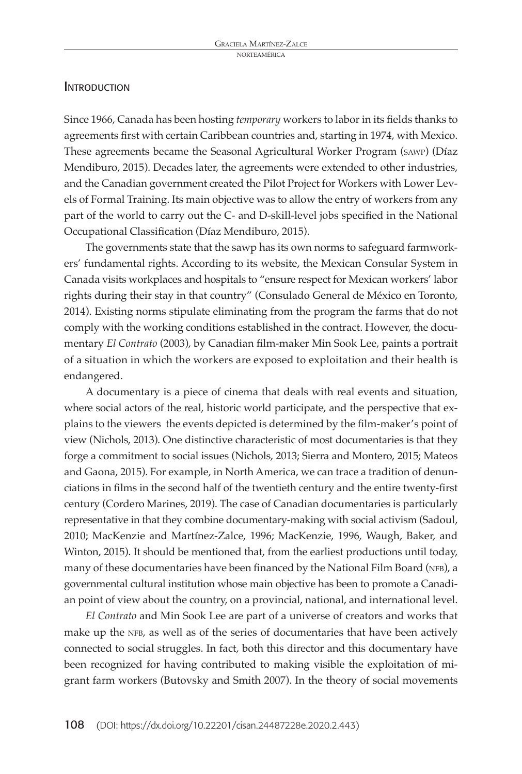#### **INTRODUCTION**

Since 1966, Canada has been hosting *temporary* workers to labor in its fields thanks to agreements first with certain Caribbean countries and, starting in 1974, with Mexico. These agreements became the Seasonal Agricultural Worker Program (sawp) (Díaz Mendiburo, 2015). Decades later, the agreements were extended to other industries, and the Canadian government created the Pilot Project for Workers with Lower Levels of Formal Training. Its main objective was to allow the entry of workers from any part of the world to carry out the C- and D-skill-level jobs specified in the National Occupational Classification (Díaz Mendiburo, 2015).

The governments state that the sawp has its own norms to safeguard farmworkers' fundamental rights. According to its website, the Mexican Consular System in Canada visits workplaces and hospitals to "ensure respect for Mexican workers' labor rights during their stay in that country" (Consulado General de México en Toronto, 2014). Existing norms stipulate eliminating from the program the farms that do not comply with the working conditions established in the contract. However, the documentary *El Contrato* (2003), by Canadian film-maker Min Sook Lee, paints a portrait of a situation in which the workers are exposed to exploitation and their health is endangered.

A documentary is a piece of cinema that deals with real events and situation, where social actors of the real, historic world participate, and the perspective that explains to the viewers the events depicted is determined by the film-maker's point of view (Nichols, 2013). One distinctive characteristic of most documentaries is that they forge a commitment to social issues (Nichols, 2013; Sierra and Montero, 2015; Mateos and Gaona, 2015). For example, in North America, we can trace a tradition of denunciations in films in the second half of the twentieth century and the entire twenty-first century (Cordero Marines, 2019). The case of Canadian documentaries is particularly representative in that they combine documentary-making with social activism (Sadoul, 2010; MacKenzie and Martínez-Zalce, 1996; MacKenzie, 1996, Waugh, Baker, and Winton, 2015). It should be mentioned that, from the earliest productions until today, many of these documentaries have been financed by the National Film Board (NFB), a governmental cultural institution whose main objective has been to promote a Canadian point of view about the country, on a provincial, national, and international level.

*El Contrato* and Min Sook Lee are part of a universe of creators and works that make up the NFB, as well as of the series of documentaries that have been actively connected to social struggles. In fact, both this director and this documentary have been recognized for having contributed to making visible the exploitation of migrant farm workers (Butovsky and Smith 2007). In the theory of social movements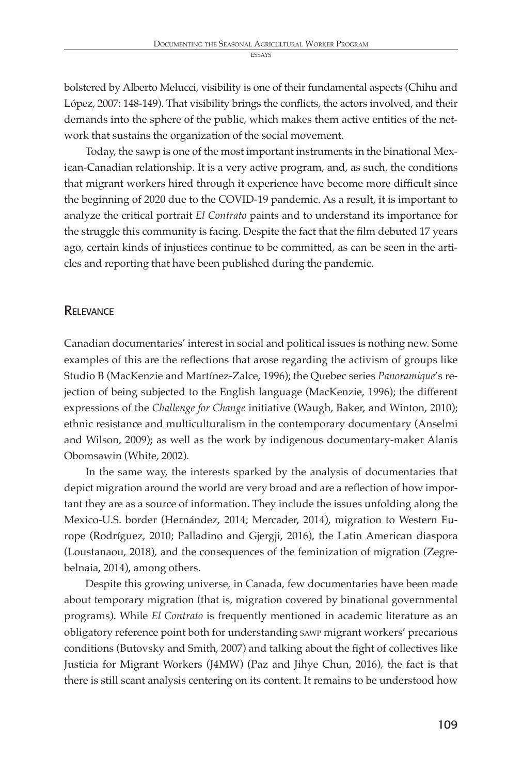bolstered by Alberto Melucci, visibility is one of their fundamental aspects (Chihu and López, 2007: 148-149). That visibility brings the conflicts, the actors involved, and their demands into the sphere of the public, which makes them active entities of the network that sustains the organization of the social movement.

Today, the sawp is one of the most important instruments in the binational Mexican-Canadian relationship. It is a very active program, and, as such, the conditions that migrant workers hired through it experience have become more difficult since the beginning of 2020 due to the COVID-19 pandemic. As a result, it is important to analyze the critical portrait *El Contrato* paints and to understand its importance for the struggle this community is facing. Despite the fact that the film debuted 17 years ago, certain kinds of injustices continue to be committed, as can be seen in the articles and reporting that have been published during the pandemic.

## **RELEVANCE**

Canadian documentaries' interest in social and political issues is nothing new. Some examples of this are the reflections that arose regarding the activism of groups like Studio B (MacKenzie and Martínez-Zalce, 1996); the Quebec series *Panoramique*'s rejection of being subjected to the English language (MacKenzie, 1996); the different expressions of the *Challenge for Change* initiative (Waugh, Baker, and Winton, 2010); ethnic resistance and multiculturalism in the contemporary documentary (Anselmi and Wilson, 2009); as well as the work by indigenous documentary-maker Alanis Obomsawin (White, 2002).

In the same way, the interests sparked by the analysis of documentaries that depict migration around the world are very broad and are a reflection of how important they are as a source of information. They include the issues unfolding along the Mexico-U.S. border (Hernández, 2014; Mercader, 2014), migration to Western Europe (Rodríguez, 2010; Palladino and Gjergji, 2016), the Latin American diaspora (Loustanaou, 2018), and the consequences of the feminization of migration (Zegrebelnaia, 2014), among others.

Despite this growing universe, in Canada, few documentaries have been made about temporary migration (that is, migration covered by binational governmental programs). While *El Contrato* is frequently mentioned in academic literature as an obligatory reference point both for understanding sawp migrant workers' precarious conditions (Butovsky and Smith, 2007) and talking about the fight of collectives like Justicia for Migrant Workers (J4MW) (Paz and Jihye Chun, 2016), the fact is that there is still scant analysis centering on its content. It remains to be understood how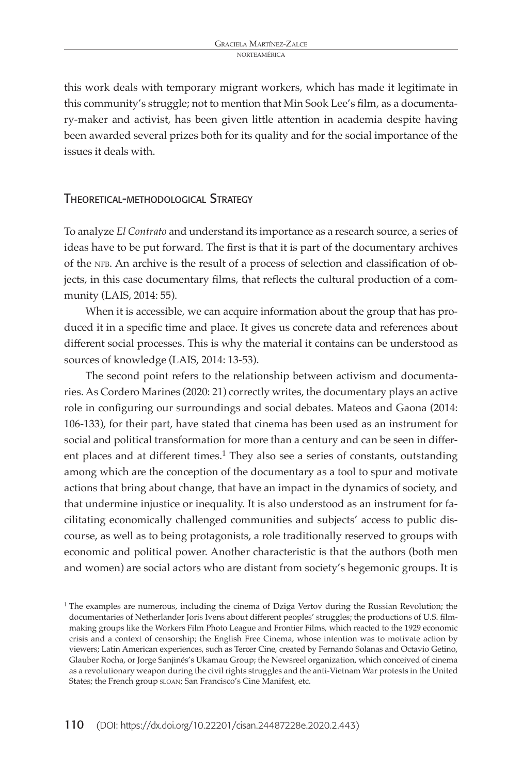this work deals with temporary migrant workers, which has made it legitimate in this community's struggle; not to mention that Min Sook Lee's film, as a documentary-maker and activist, has been given little attention in academia despite having been awarded several prizes both for its quality and for the social importance of the issues it deals with.

#### Theoretical-methodological Strategy

To analyze *El Contrato* and understand its importance as a research source, a series of ideas have to be put forward. The first is that it is part of the documentary archives of the NFB. An archive is the result of a process of selection and classification of objects, in this case documentary films, that reflects the cultural production of a community (LAIS, 2014: 55).

When it is accessible, we can acquire information about the group that has produced it in a specific time and place. It gives us concrete data and references about different social processes. This is why the material it contains can be understood as sources of knowledge (LAIS, 2014: 13-53).

The second point refers to the relationship between activism and documentaries. As Cordero Marines (2020: 21) correctly writes, the documentary plays an active role in configuring our surroundings and social debates. Mateos and Gaona (2014: 106-133), for their part, have stated that cinema has been used as an instrument for social and political transformation for more than a century and can be seen in different places and at different times.<sup>1</sup> They also see a series of constants, outstanding among which are the conception of the documentary as a tool to spur and motivate actions that bring about change, that have an impact in the dynamics of society, and that undermine injustice or inequality. It is also understood as an instrument for facilitating economically challenged communities and subjects' access to public discourse, as well as to being protagonists, a role traditionally reserved to groups with economic and political power. Another characteristic is that the authors (both men and women) are social actors who are distant from society's hegemonic groups. It is

 $1$ <sup>1</sup> The examples are numerous, including the cinema of Dziga Vertov during the Russian Revolution; the documentaries of Netherlander Joris Ivens about different peoples' struggles; the productions of U.S. filmmaking groups like the Workers Film Photo League and Frontier Films, which reacted to the 1929 economic crisis and a context of censorship; the English Free Cinema, whose intention was to motivate action by viewers; Latin American experiences, such as Tercer Cine, created by Fernando Solanas and Octavio Getino, Glauber Rocha, or Jorge Sanjinés's Ukamau Group; the Newsreel organization, which conceived of cinema as a revolutionary weapon during the civil rights struggles and the anti-Vietnam War protests in the United States; the French group sloan; San Francisco's Cine Manifest, etc.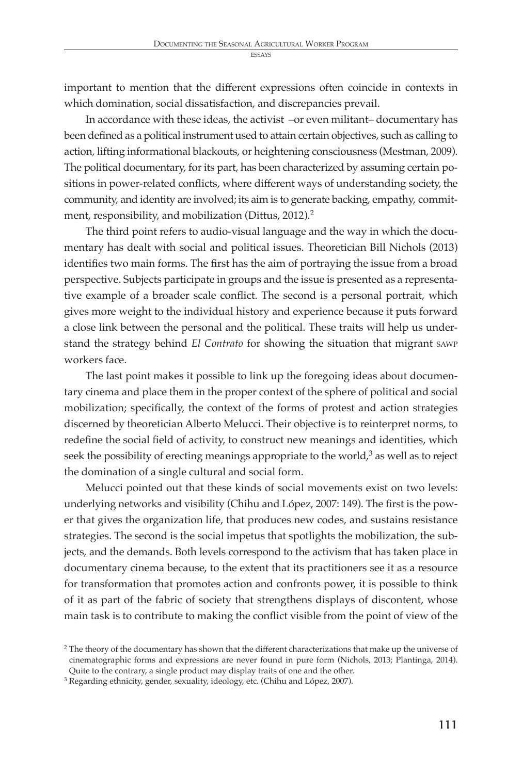important to mention that the different expressions often coincide in contexts in which domination, social dissatisfaction, and discrepancies prevail.

In accordance with these ideas, the activist –or even militant– documentary has been defined as a political instrument used to attain certain objectives, such as calling to action, lifting informational blackouts, or heightening consciousness (Mestman, 2009). The political documentary, for its part, has been characterized by assuming certain positions in power-related conflicts, where different ways of understanding society, the community, and identity are involved; its aim is to generate backing, empathy, commitment, responsibility, and mobilization (Dittus, 2012).<sup>2</sup>

The third point refers to audio-visual language and the way in which the documentary has dealt with social and political issues. Theoretician Bill Nichols (2013) identifies two main forms. The first has the aim of portraying the issue from a broad perspective. Subjects participate in groups and the issue is presented as a representative example of a broader scale conflict. The second is a personal portrait, which gives more weight to the individual history and experience because it puts forward a close link between the personal and the political. These traits will help us understand the strategy behind *El Contrato* for showing the situation that migrant sawp workers face.

The last point makes it possible to link up the foregoing ideas about documentary cinema and place them in the proper context of the sphere of political and social mobilization; specifically, the context of the forms of protest and action strategies discerned by theoretician Alberto Melucci. Their objective is to reinterpret norms, to redefine the social field of activity, to construct new meanings and identities, which seek the possibility of erecting meanings appropriate to the world, $3$  as well as to reject the domination of a single cultural and social form.

Melucci pointed out that these kinds of social movements exist on two levels: underlying networks and visibility (Chihu and López, 2007: 149). The first is the power that gives the organization life, that produces new codes, and sustains resistance strategies. The second is the social impetus that spotlights the mobilization, the subjects, and the demands. Both levels correspond to the activism that has taken place in documentary cinema because, to the extent that its practitioners see it as a resource for transformation that promotes action and confronts power, it is possible to think of it as part of the fabric of society that strengthens displays of discontent, whose main task is to contribute to making the conflict visible from the point of view of the

<sup>&</sup>lt;sup>2</sup> The theory of the documentary has shown that the different characterizations that make up the universe of cinematographic forms and expressions are never found in pure form (Nichols, 2013; Plantinga, 2014). Quite to the contrary, a single product may display traits of one and the other.

<sup>&</sup>lt;sup>3</sup> Regarding ethnicity, gender, sexuality, ideology, etc. (Chihu and López, 2007).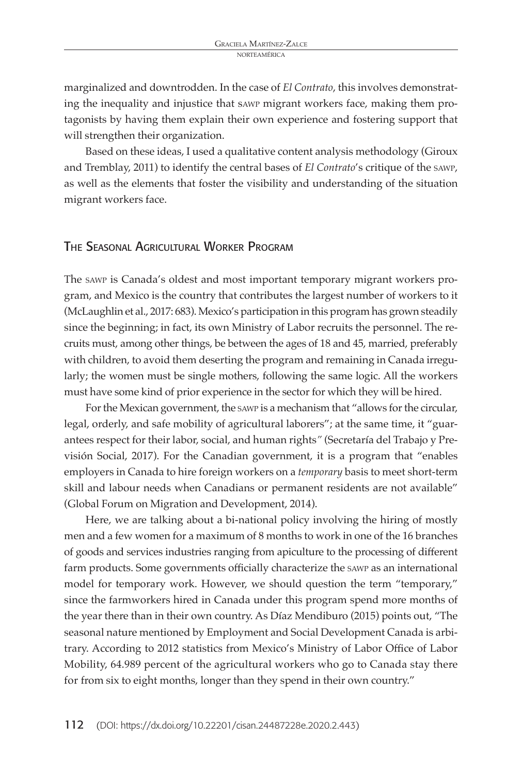marginalized and downtrodden. In the case of *El Contrato*, this involves demonstrating the inequality and injustice that sawp migrant workers face, making them protagonists by having them explain their own experience and fostering support that will strengthen their organization.

Based on these ideas, I used a qualitative content analysis methodology (Giroux and Tremblay, 2011) to identify the central bases of *El Contrato*'s critique of the sawp, as well as the elements that foster the visibility and understanding of the situation migrant workers face.

## The Seasonal Agricultural Worker Program

The sawp is Canada's oldest and most important temporary migrant workers program, and Mexico is the country that contributes the largest number of workers to it (McLaughlin et al., 2017: 683). Mexico's participation in this program has grown steadily since the beginning; in fact, its own Ministry of Labor recruits the personnel. The recruits must, among other things, be between the ages of 18 and 45, married, preferably with children, to avoid them deserting the program and remaining in Canada irregularly; the women must be single mothers, following the same logic. All the workers must have some kind of prior experience in the sector for which they will be hired.

For the Mexican government, the sawp is a mechanism that "allows for the circular, legal, orderly, and safe mobility of agricultural laborers"; at the same time, it "guarantees respect for their labor, social, and human rights*"* (Secretaría del Trabajo y Previsión Social, 2017). For the Canadian government, it is a program that "enables employers in Canada to hire foreign workers on a *temporary* basis to meet short-term skill and labour needs when Canadians or permanent residents are not available" (Global Forum on Migration and Development, 2014).

Here, we are talking about a bi-national policy involving the hiring of mostly men and a few women for a maximum of 8 months to work in one of the 16 branches of goods and services industries ranging from apiculture to the processing of different farm products. Some governments officially characterize the sawp as an international model for temporary work. However, we should question the term "temporary," since the farmworkers hired in Canada under this program spend more months of the year there than in their own country. As Díaz Mendiburo (2015) points out, "The seasonal nature mentioned by Employment and Social Development Canada is arbitrary. According to 2012 statistics from Mexico's Ministry of Labor Office of Labor Mobility, 64.989 percent of the agricultural workers who go to Canada stay there for from six to eight months, longer than they spend in their own country."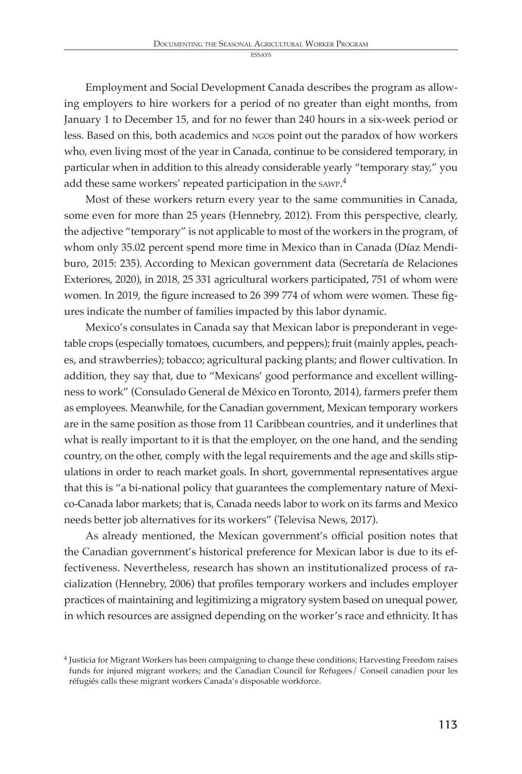Employment and Social Development Canada describes the program as allowing employers to hire workers for a period of no greater than eight months, from January 1 to December 15, and for no fewer than 240 hours in a six-week period or less. Based on this, both academics and ngos point out the paradox of how workers who, even living most of the year in Canada, continue to be considered temporary, in particular when in addition to this already considerable yearly "temporary stay," you add these same workers' repeated participation in the sawp. 4

Most of these workers return every year to the same communities in Canada, some even for more than 25 years (Hennebry, 2012). From this perspective, clearly, the adjective "temporary" is not applicable to most of the workers in the program, of whom only 35.02 percent spend more time in Mexico than in Canada (Díaz Mendiburo, 2015: 235). According to Mexican government data (Secretaría de Relaciones Exteriores, 2020), in 2018, 25 331 agricultural workers participated, 751 of whom were women. In 2019, the figure increased to 26 399 774 of whom were women. These figures indicate the number of families impacted by this labor dynamic.

Mexico's consulates in Canada say that Mexican labor is preponderant in vegetable crops (especially tomatoes, cucumbers, and peppers); fruit (mainly apples, peaches, and strawberries); tobacco; agricultural packing plants; and flower cultivation. In addition, they say that, due to "Mexicans' good performance and excellent willingness to work" (Consulado General de México en Toronto, 2014), farmers prefer them as employees. Meanwhile, for the Canadian government, Mexican temporary workers are in the same position as those from 11 Caribbean countries, and it underlines that what is really important to it is that the employer, on the one hand, and the sending country, on the other, comply with the legal requirements and the age and skills stipulations in order to reach market goals. In short, governmental representatives argue that this is "a bi-national policy that guarantees the complementary nature of Mexico-Canada labor markets; that is, Canada needs labor to work on its farms and Mexico needs better job alternatives for its workers" (Televisa News, 2017).

As already mentioned, the Mexican government's official position notes that the Canadian government's historical preference for Mexican labor is due to its effectiveness. Nevertheless, research has shown an institutionalized process of racialization (Hennebry, 2006) that profiles temporary workers and includes employer practices of maintaining and legitimizing a migratory system based on unequal power, in which resources are assigned depending on the worker's race and ethnicity. It has

<sup>4</sup> Justicia for Migrant Workers has been campaigning to change these conditions; Harvesting Freedom raises funds for injured migrant workers; and the Canadian Council for Refugees/ Conseil canadien pour les réfugiés calls these migrant workers Canada's disposable workforce.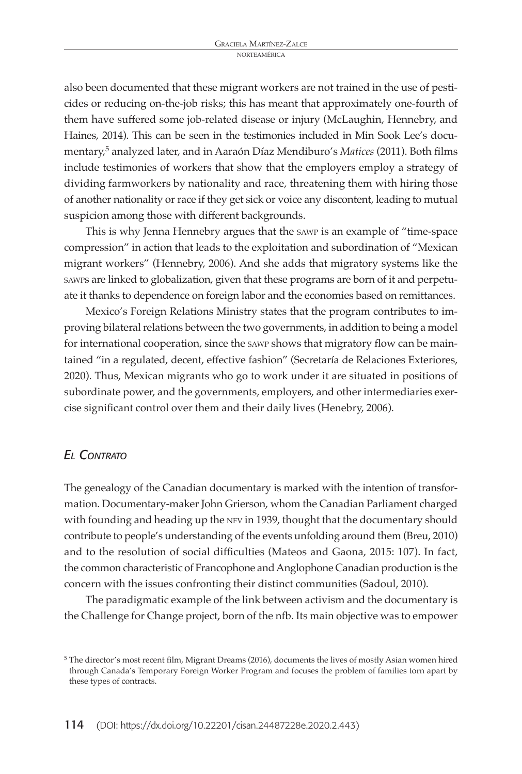also been documented that these migrant workers are not trained in the use of pesticides or reducing on-the-job risks; this has meant that approximately one-fourth of them have suffered some job-related disease or injury (McLaughin, Hennebry, and Haines, 2014). This can be seen in the testimonies included in Min Sook Lee's documentary,5 analyzed later, and in Aaraón Díaz Mendiburo's *Matices* (2011). Both films include testimonies of workers that show that the employers employ a strategy of dividing farmworkers by nationality and race, threatening them with hiring those of another nationality or race if they get sick or voice any discontent, leading to mutual suspicion among those with different backgrounds.

This is why Jenna Hennebry argues that the sawp is an example of "time-space compression" in action that leads to the exploitation and subordination of "Mexican migrant workers" (Hennebry, 2006). And she adds that migratory systems like the sawps are linked to globalization, given that these programs are born of it and perpetuate it thanks to dependence on foreign labor and the economies based on remittances.

Mexico's Foreign Relations Ministry states that the program contributes to improving bilateral relations between the two governments, in addition to being a model for international cooperation, since the sawp shows that migratory flow can be maintained "in a regulated, decent, effective fashion" (Secretaría de Relaciones Exteriores, 2020). Thus, Mexican migrants who go to work under it are situated in positions of subordinate power, and the governments, employers, and other intermediaries exercise significant control over them and their daily lives (Henebry, 2006).

#### *El Contrato*

The genealogy of the Canadian documentary is marked with the intention of transformation. Documentary-maker John Grierson, whom the Canadian Parliament charged with founding and heading up the NFV in 1939, thought that the documentary should contribute to people's understanding of the events unfolding around them (Breu, 2010) and to the resolution of social difficulties (Mateos and Gaona, 2015: 107). In fact, the common characteristic of Francophone and Anglophone Canadian production is the concern with the issues confronting their distinct communities (Sadoul, 2010).

The paradigmatic example of the link between activism and the documentary is the Challenge for Change project, born of the nfb. Its main objective was to empower

<sup>5</sup> The director's most recent film, Migrant Dreams (2016), documents the lives of mostly Asian women hired through Canada's Temporary Foreign Worker Program and focuses the problem of families torn apart by these types of contracts.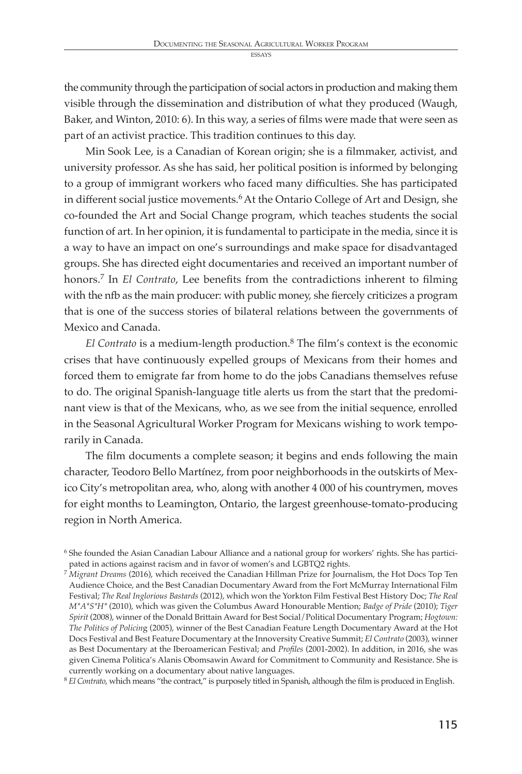the community through the participation of social actors in production and making them visible through the dissemination and distribution of what they produced (Waugh, Baker, and Winton, 2010: 6). In this way, a series of films were made that were seen as part of an activist practice. This tradition continues to this day.

Min Sook Lee, is a Canadian of Korean origin; she is a filmmaker, activist, and university professor. As she has said, her political position is informed by belonging to a group of immigrant workers who faced many difficulties. She has participated in different social justice movements.<sup>6</sup> At the Ontario College of Art and Design, she co-founded the Art and Social Change program, which teaches students the social function of art. In her opinion, it is fundamental to participate in the media, since it is a way to have an impact on one's surroundings and make space for disadvantaged groups. She has directed eight documentaries and received an important number of honors.7 In *El Contrato*, Lee benefits from the contradictions inherent to filming with the nfb as the main producer: with public money, she fiercely criticizes a program that is one of the success stories of bilateral relations between the governments of Mexico and Canada.

*El Contrato* is a medium-length production.8 The film's context is the economic crises that have continuously expelled groups of Mexicans from their homes and forced them to emigrate far from home to do the jobs Canadians themselves refuse to do. The original Spanish-language title alerts us from the start that the predominant view is that of the Mexicans, who, as we see from the initial sequence, enrolled in the Seasonal Agricultural Worker Program for Mexicans wishing to work temporarily in Canada.

The film documents a complete season; it begins and ends following the main character, Teodoro Bello Martínez, from poor neighborhoods in the outskirts of Mexico City's metropolitan area, who, along with another 4 000 of his countrymen, moves for eight months to Leamington, Ontario, the largest greenhouse-tomato-producing region in North America.

<sup>8</sup> *El Contrato*, which means "the contract," is purposely titled in Spanish, although the film is produced in English.

<sup>6</sup> She founded the Asian Canadian Labour Alliance and a national group for workers' rights. She has participated in actions against racism and in favor of women's and LGBTQ2 rights.

<sup>7</sup> *Migrant Dreams* (2016), which received the Canadian Hillman Prize for Journalism, the Hot Docs Top Ten Audience Choice, and the Best Canadian Documentary Award from the Fort McMurray International Film Festival; *The Real Inglorious Bastards* (2012), which won the Yorkton Film Festival Best History Doc; *The Real M\*A\*S\*H\** (2010), which was given the Columbus Award Honourable Mention; *Badge of Pride* (2010); *Tiger Spirit* (2008), winner of the Donald Brittain Award for Best Social/Political Documentary Program; *Hogtown: The Politics of Policin*g (2005), winner of the Best Canadian Feature Length Documentary Award at the Hot Docs Festival and Best Feature Documentary at the Innoversity Creative Summit; *El Contrato* (2003), winner as Best Documentary at the Iberoamerican Festival; and *Profiles* (2001-2002). In addition, in 2016, she was given Cinema Politica's Alanis Obomsawin Award for Commitment to Community and Resistance. She is currently working on a documentary about native languages.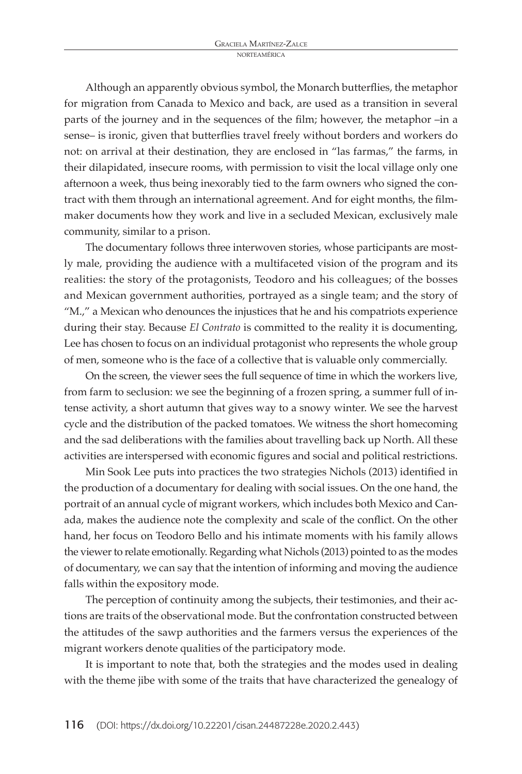Although an apparently obvious symbol, the Monarch butterflies, the metaphor for migration from Canada to Mexico and back, are used as a transition in several parts of the journey and in the sequences of the film; however, the metaphor –in a sense– is ironic, given that butterflies travel freely without borders and workers do not: on arrival at their destination, they are enclosed in "las farmas," the farms, in their dilapidated, insecure rooms, with permission to visit the local village only one afternoon a week, thus being inexorably tied to the farm owners who signed the contract with them through an international agreement. And for eight months, the filmmaker documents how they work and live in a secluded Mexican, exclusively male community, similar to a prison.

The documentary follows three interwoven stories, whose participants are mostly male, providing the audience with a multifaceted vision of the program and its realities: the story of the protagonists, Teodoro and his colleagues; of the bosses and Mexican government authorities, portrayed as a single team; and the story of "M.," a Mexican who denounces the injustices that he and his compatriots experience during their stay. Because *El Contrato* is committed to the reality it is documenting, Lee has chosen to focus on an individual protagonist who represents the whole group of men, someone who is the face of a collective that is valuable only commercially.

On the screen, the viewer sees the full sequence of time in which the workers live, from farm to seclusion: we see the beginning of a frozen spring, a summer full of intense activity, a short autumn that gives way to a snowy winter. We see the harvest cycle and the distribution of the packed tomatoes. We witness the short homecoming and the sad deliberations with the families about travelling back up North. All these activities are interspersed with economic figures and social and political restrictions.

Min Sook Lee puts into practices the two strategies Nichols (2013) identified in the production of a documentary for dealing with social issues. On the one hand, the portrait of an annual cycle of migrant workers, which includes both Mexico and Canada, makes the audience note the complexity and scale of the conflict. On the other hand, her focus on Teodoro Bello and his intimate moments with his family allows the viewer to relate emotionally. Regarding what Nichols (2013) pointed to as the modes of documentary, we can say that the intention of informing and moving the audience falls within the expository mode.

The perception of continuity among the subjects, their testimonies, and their actions are traits of the observational mode. But the confrontation constructed between the attitudes of the sawp authorities and the farmers versus the experiences of the migrant workers denote qualities of the participatory mode.

It is important to note that, both the strategies and the modes used in dealing with the theme jibe with some of the traits that have characterized the genealogy of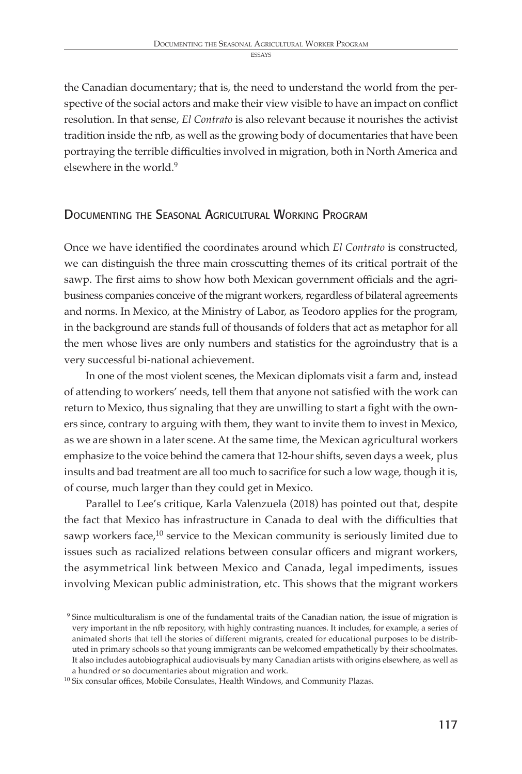the Canadian documentary; that is, the need to understand the world from the perspective of the social actors and make their view visible to have an impact on conflict resolution. In that sense, *El Contrato* is also relevant because it nourishes the activist tradition inside the nfb, as well as the growing body of documentaries that have been portraying the terrible difficulties involved in migration, both in North America and elsewhere in the world.<sup>9</sup>

## DOCUMENTING THE SEASONAL AGRICULTURAL WORKING PROGRAM

Once we have identified the coordinates around which *El Contrato* is constructed, we can distinguish the three main crosscutting themes of its critical portrait of the sawp. The first aims to show how both Mexican government officials and the agribusiness companies conceive of the migrant workers, regardless of bilateral agreements and norms. In Mexico, at the Ministry of Labor, as Teodoro applies for the program, in the background are stands full of thousands of folders that act as metaphor for all the men whose lives are only numbers and statistics for the agroindustry that is a very successful bi-national achievement.

In one of the most violent scenes, the Mexican diplomats visit a farm and, instead of attending to workers' needs, tell them that anyone not satisfied with the work can return to Mexico, thus signaling that they are unwilling to start a fight with the owners since, contrary to arguing with them, they want to invite them to invest in Mexico, as we are shown in a later scene. At the same time, the Mexican agricultural workers emphasize to the voice behind the camera that 12-hour shifts, seven days a week, plus insults and bad treatment are all too much to sacrifice for such a low wage, though it is, of course, much larger than they could get in Mexico.

Parallel to Lee's critique, Karla Valenzuela (2018) has pointed out that, despite the fact that Mexico has infrastructure in Canada to deal with the difficulties that sawp workers face, $^{10}$  service to the Mexican community is seriously limited due to issues such as racialized relations between consular officers and migrant workers, the asymmetrical link between Mexico and Canada, legal impediments, issues involving Mexican public administration, etc. This shows that the migrant workers

<sup>&</sup>lt;sup>9</sup> Since multiculturalism is one of the fundamental traits of the Canadian nation, the issue of migration is very important in the nfb repository, with highly contrasting nuances. It includes, for example, a series of animated shorts that tell the stories of different migrants, created for educational purposes to be distributed in primary schools so that young immigrants can be welcomed empathetically by their schoolmates. It also includes autobiographical audiovisuals by many Canadian artists with origins elsewhere, as well as a hundred or so documentaries about migration and work.

<sup>10</sup> Six consular offices, Mobile Consulates, Health Windows, and Community Plazas.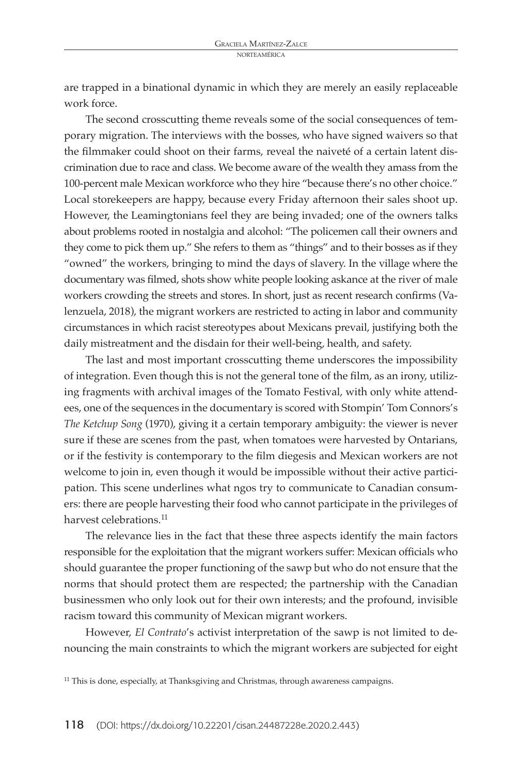are trapped in a binational dynamic in which they are merely an easily replaceable work force.

The second crosscutting theme reveals some of the social consequences of temporary migration. The interviews with the bosses, who have signed waivers so that the filmmaker could shoot on their farms, reveal the naiveté of a certain latent discrimination due to race and class. We become aware of the wealth they amass from the 100-percent male Mexican workforce who they hire "because there's no other choice." Local storekeepers are happy, because every Friday afternoon their sales shoot up. However, the Leamingtonians feel they are being invaded; one of the owners talks about problems rooted in nostalgia and alcohol: "The policemen call their owners and they come to pick them up." She refers to them as "things" and to their bosses as if they "owned" the workers, bringing to mind the days of slavery. In the village where the documentary was filmed, shots show white people looking askance at the river of male workers crowding the streets and stores. In short, just as recent research confirms (Valenzuela, 2018), the migrant workers are restricted to acting in labor and community circumstances in which racist stereotypes about Mexicans prevail, justifying both the daily mistreatment and the disdain for their well-being, health, and safety.

The last and most important crosscutting theme underscores the impossibility of integration. Even though this is not the general tone of the film, as an irony, utilizing fragments with archival images of the Tomato Festival, with only white attendees, one of the sequences in the documentary is scored with Stompin' Tom Connors's *The Ketchup Song* (1970), giving it a certain temporary ambiguity: the viewer is never sure if these are scenes from the past, when tomatoes were harvested by Ontarians, or if the festivity is contemporary to the film diegesis and Mexican workers are not welcome to join in, even though it would be impossible without their active participation. This scene underlines what ngos try to communicate to Canadian consumers: there are people harvesting their food who cannot participate in the privileges of harvest celebrations<sup>11</sup>

The relevance lies in the fact that these three aspects identify the main factors responsible for the exploitation that the migrant workers suffer: Mexican officials who should guarantee the proper functioning of the sawp but who do not ensure that the norms that should protect them are respected; the partnership with the Canadian businessmen who only look out for their own interests; and the profound, invisible racism toward this community of Mexican migrant workers.

However, *El Contrato*'s activist interpretation of the sawp is not limited to denouncing the main constraints to which the migrant workers are subjected for eight

<sup>&</sup>lt;sup>11</sup> This is done, especially, at Thanksgiving and Christmas, through awareness campaigns.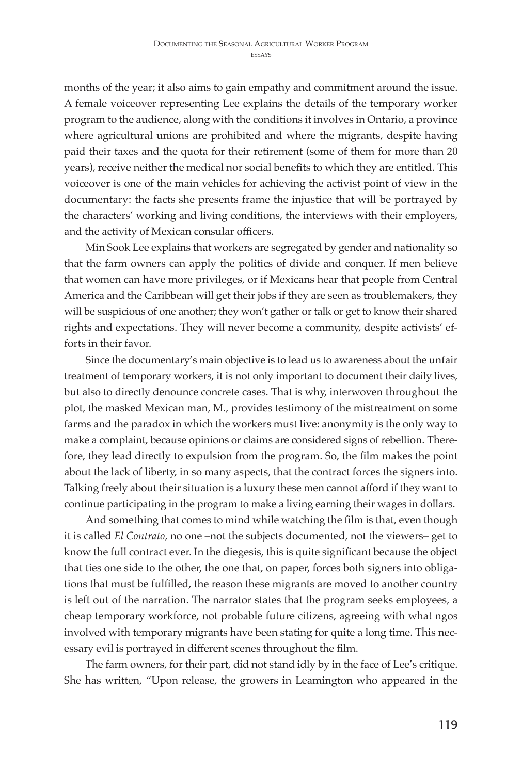ESSAY

months of the year; it also aims to gain empathy and commitment around the issue. A female voiceover representing Lee explains the details of the temporary worker program to the audience, along with the conditions it involves in Ontario, a province where agricultural unions are prohibited and where the migrants, despite having paid their taxes and the quota for their retirement (some of them for more than 20 years), receive neither the medical nor social benefits to which they are entitled. This voiceover is one of the main vehicles for achieving the activist point of view in the documentary: the facts she presents frame the injustice that will be portrayed by the characters' working and living conditions, the interviews with their employers, and the activity of Mexican consular officers.

Min Sook Lee explains that workers are segregated by gender and nationality so that the farm owners can apply the politics of divide and conquer. If men believe that women can have more privileges, or if Mexicans hear that people from Central America and the Caribbean will get their jobs if they are seen as troublemakers, they will be suspicious of one another; they won't gather or talk or get to know their shared rights and expectations. They will never become a community, despite activists' efforts in their favor.

Since the documentary's main objective is to lead us to awareness about the unfair treatment of temporary workers, it is not only important to document their daily lives, but also to directly denounce concrete cases. That is why, interwoven throughout the plot, the masked Mexican man, M., provides testimony of the mistreatment on some farms and the paradox in which the workers must live: anonymity is the only way to make a complaint, because opinions or claims are considered signs of rebellion. Therefore, they lead directly to expulsion from the program. So, the film makes the point about the lack of liberty, in so many aspects, that the contract forces the signers into. Talking freely about their situation is a luxury these men cannot afford if they want to continue participating in the program to make a living earning their wages in dollars.

And something that comes to mind while watching the film is that, even though it is called *El Contrato*, no one –not the subjects documented, not the viewers– get to know the full contract ever. In the diegesis, this is quite significant because the object that ties one side to the other, the one that, on paper, forces both signers into obligations that must be fulfilled, the reason these migrants are moved to another country is left out of the narration. The narrator states that the program seeks employees, a cheap temporary workforce, not probable future citizens, agreeing with what ngos involved with temporary migrants have been stating for quite a long time. This necessary evil is portrayed in different scenes throughout the film.

The farm owners, for their part, did not stand idly by in the face of Lee's critique. She has written, "Upon release, the growers in Leamington who appeared in the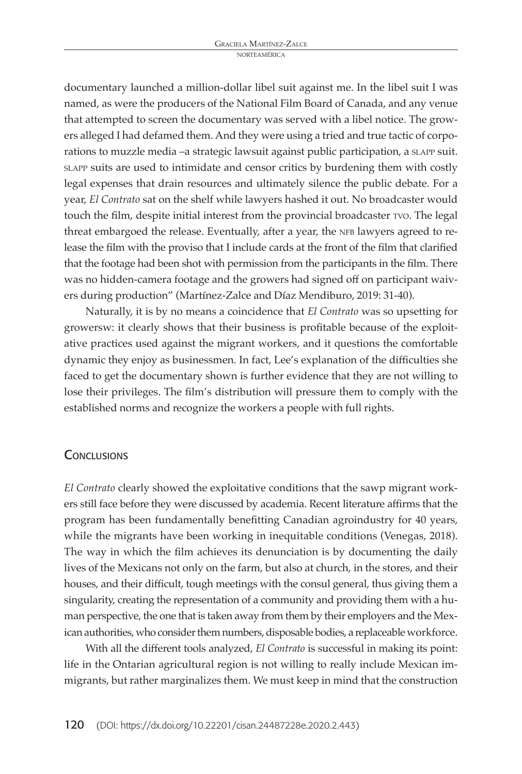documentary launched a million-dollar libel suit against me. In the libel suit I was named, as were the producers of the National Film Board of Canada, and any venue that attempted to screen the documentary was served with a libel notice. The growers alleged I had defamed them. And they were using a tried and true tactic of corporations to muzzle media –a strategic lawsuit against public participation, a slapp suit. slapp suits are used to intimidate and censor critics by burdening them with costly legal expenses that drain resources and ultimately silence the public debate. For a year, *El Contrato* sat on the shelf while lawyers hashed it out. No broadcaster would touch the film, despite initial interest from the provincial broadcaster tvo. The legal threat embargoed the release. Eventually, after a year, the NFB lawyers agreed to release the film with the proviso that I include cards at the front of the film that clarified that the footage had been shot with permission from the participants in the film. There was no hidden-camera footage and the growers had signed off on participant waivers during production" (Martínez-Zalce and Díaz Mendiburo, 2019: 31-40).

Naturally, it is by no means a coincidence that *El Contrato* was so upsetting for growersw: it clearly shows that their business is profitable because of the exploitative practices used against the migrant workers, and it questions the comfortable dynamic they enjoy as businessmen. In fact, Lee's explanation of the difficulties she faced to get the documentary shown is further evidence that they are not willing to lose their privileges. The film's distribution will pressure them to comply with the established norms and recognize the workers a people with full rights.

#### **CONCLUSIONS**

*El Contrato* clearly showed the exploitative conditions that the sawp migrant workers still face before they were discussed by academia. Recent literature affirms that the program has been fundamentally benefitting Canadian agroindustry for 40 years, while the migrants have been working in inequitable conditions (Venegas, 2018). The way in which the film achieves its denunciation is by documenting the daily lives of the Mexicans not only on the farm, but also at church, in the stores, and their houses, and their difficult, tough meetings with the consul general, thus giving them a singularity, creating the representation of a community and providing them with a human perspective, the one that is taken away from them by their employers and the Mexican authorities, who consider them numbers, disposable bodies, a replaceable workforce.

With all the different tools analyzed, *El Contrato* is successful in making its point: life in the Ontarian agricultural region is not willing to really include Mexican immigrants, but rather marginalizes them. We must keep in mind that the construction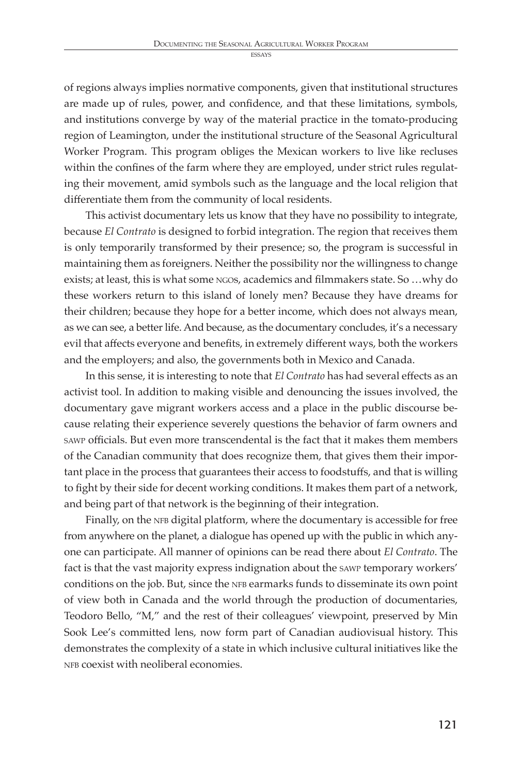ESSAY

of regions always implies normative components, given that institutional structures are made up of rules, power, and confidence, and that these limitations, symbols, and institutions converge by way of the material practice in the tomato-producing region of Leamington, under the institutional structure of the Seasonal Agricultural Worker Program. This program obliges the Mexican workers to live like recluses within the confines of the farm where they are employed, under strict rules regulating their movement, amid symbols such as the language and the local religion that differentiate them from the community of local residents.

This activist documentary lets us know that they have no possibility to integrate, because *El Contrato* is designed to forbid integration. The region that receives them is only temporarily transformed by their presence; so, the program is successful in maintaining them as foreigners. Neither the possibility nor the willingness to change exists; at least, this is what some ngos, academics and filmmakers state. So …why do these workers return to this island of lonely men? Because they have dreams for their children; because they hope for a better income, which does not always mean, as we can see, a better life. And because, as the documentary concludes, it's a necessary evil that affects everyone and benefits, in extremely different ways, both the workers and the employers; and also, the governments both in Mexico and Canada.

In this sense, it is interesting to note that *El Contrato* has had several effects as an activist tool. In addition to making visible and denouncing the issues involved, the documentary gave migrant workers access and a place in the public discourse because relating their experience severely questions the behavior of farm owners and sawp officials. But even more transcendental is the fact that it makes them members of the Canadian community that does recognize them, that gives them their important place in the process that guarantees their access to foodstuffs, and that is willing to fight by their side for decent working conditions. It makes them part of a network, and being part of that network is the beginning of their integration.

Finally, on the NFB digital platform, where the documentary is accessible for free from anywhere on the planet, a dialogue has opened up with the public in which anyone can participate. All manner of opinions can be read there about *El Contrato*. The fact is that the vast majority express indignation about the sawp temporary workers' conditions on the job. But, since the NFB earmarks funds to disseminate its own point of view both in Canada and the world through the production of documentaries, Teodoro Bello, "M," and the rest of their colleagues' viewpoint, preserved by Min Sook Lee's committed lens, now form part of Canadian audiovisual history. This demonstrates the complexity of a state in which inclusive cultural initiatives like the NFB coexist with neoliberal economies.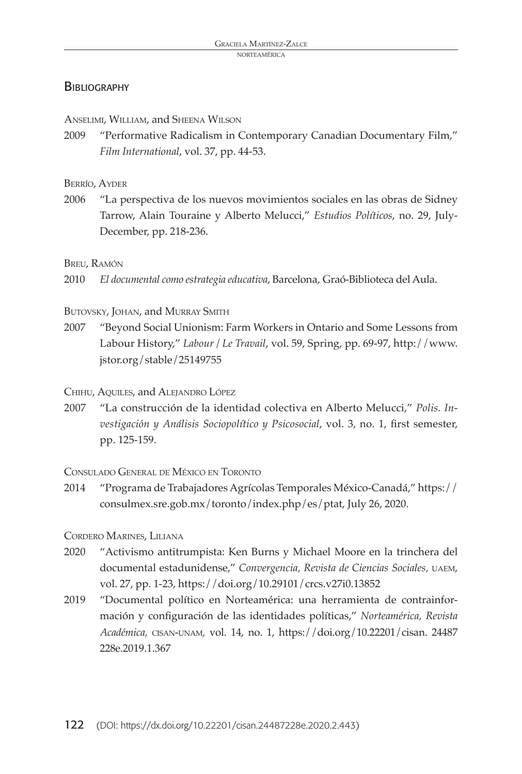## **BIBLIOGRAPHY**

Anselimi, William, and Sheena Wilson

2009 "Performative Radicalism in Contemporary Canadian Documentary Film," *Film International*, vol. 37, pp. 44-53.

#### Berrío, Ayder

2006 "La perspectiva de los nuevos movimientos sociales en las obras de Sidney Tarrow, Alain Touraine y Alberto Melucci," *Estudios Políticos*, no. 29, July-December, pp. 218-236.

#### Breu, Ramón

2010 *El documental como estrategia educativa*, Barcelona, Graó-Biblioteca del Aula.

#### BUTOVSKY, JOHAN, and MURRAY SMITH

2007 "Beyond Social Unionism: Farm Workers in Ontario and Some Lessons from Labour History," *Labour / Le Travail*, vol. 59, Spring, pp. 69-97, http://www. jstor.org/stable/25149755

#### Chihu, Aquiles, and Alejandro López

2007 "La construcción de la identidad colectiva en Alberto Melucci," *Polis. Investigación y Análisis Sociopolítico y Psicosocial*, vol. 3, no. 1, first semester, pp. 125-159.

#### Consulado General de México en Toronto

2014 "Programa de Trabajadores Agrícolas Temporales México-Canadá," https:// consulmex.sre.gob.mx/toronto/index.php/es/ptat, July 26, 2020.

#### Cordero Marines, Liliana

- 2020 "Activismo antitrumpista: Ken Burns y Michael Moore en la trinchera del documental estadunidense," *Convergencia, Revista de Ciencias Sociales,* uaem, vol. 27, pp. 1-23, https://doi.org/10.29101/crcs.v27i0.13852
- 2019 "Documental político en Norteamérica: una herramienta de contrainformación y configuración de las identidades políticas," *Norteamérica, Revista Académica,* cisan-unam*,* vol. 14, no. 1, https://doi.org/10.22201/cisan. 24487 228e.2019.1.367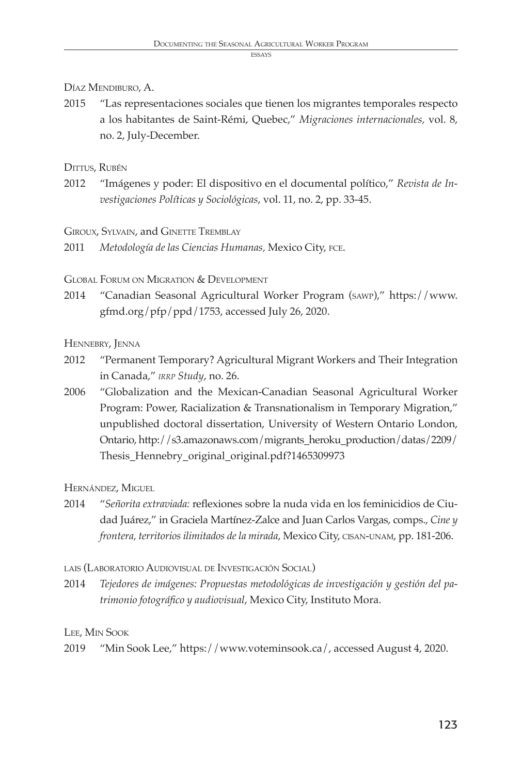## Díaz Mendiburo, A.

2015 "Las representaciones sociales que tienen los migrantes temporales respecto a los habitantes de Saint-Rémi, Quebec," *Migraciones internacionales,* vol. 8, no. 2, July-December.

## Dittus, Rubén

2012 "Imágenes y poder: El dispositivo en el documental político," *Revista de Investigaciones Políticas y Sociológicas*, vol. 11, no. 2, pp. 33-45.

#### Giroux, Sylvain, and Ginette Tremblay

2011 *Metodología de las Ciencias Humanas,* Mexico City, fce.

Global Forum on Migration & Development

2014 "Canadian Seasonal Agricultural Worker Program (sawp)," https://www. gfmd.org/pfp/ppd/1753, accessed July 26, 2020.

## HENNEBRY, JENNA

- 2012 "Permanent Temporary? Agricultural Migrant Workers and Their Integration in Canada," *irrp Study*, no. 26.
- 2006 "Globalization and the Mexican-Canadian Seasonal Agricultural Worker Program: Power, Racialization & Transnationalism in Temporary Migration," unpublished doctoral dissertation, University of Western Ontario London, Ontario, http://s3.amazonaws.com/migrants\_heroku\_production/datas/2209/ Thesis\_Hennebry\_original\_original.pdf?1465309973

## Hernández, Miguel

2014 "*Señorita extraviada:* reflexiones sobre la nuda vida en los feminicidios de Ciudad Juárez," in Graciela Martínez-Zalce and Juan Carlos Vargas, comps., *Cine y frontera, territorios ilimitados de la mirada*, Mexico City, cisan-unam, pp. 181-206.

lais (Laboratorio Audiovisual de Investigación Social)

2014 *Tejedores de imágenes: Propuestas metodológicas de investigación y gestión del patrimonio fotográfico y audiovisual*, Mexico City, Instituto Mora.

## Lee, Min Sook

2019 "Min Sook Lee," https://www.voteminsook.ca/, accessed August 4, 2020.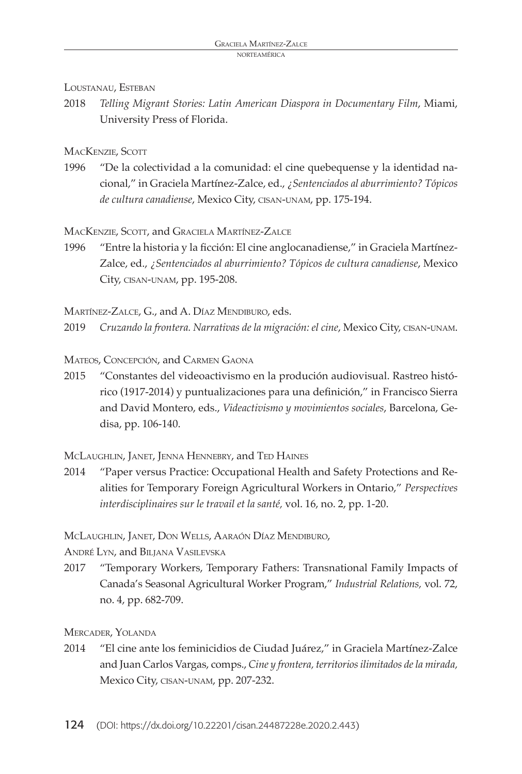#### LOUSTANAU, ESTEBAN

2018 *Telling Migrant Stories: Latin American Diaspora in Documentary Film*, Miami, University Press of Florida.

## MACKENZIE, SCOTT

1996 "De la colectividad a la comunidad: el cine quebequense y la identidad nacional," in Graciela Martínez-Zalce, ed., *¿Sentenciados al aburrimiento? Tópicos de cultura canadiense*, Mexico City, cisan-unam, pp. 175-194.

## MacKenzie, Scott, and Graciela Martínez-Zalce

1996 "Entre la historia y la ficción: El cine anglocanadiense," in Graciela Martínez-Zalce, ed., *¿Sentenciados al aburrimiento? Tópicos de cultura canadiense*, Mexico City, cisan-unam, pp. 195-208.

MARTÍNEZ-ZALCE, G., and A. DÍAZ MENDIBURO, eds.

2019 *Cruzando la frontera. Narrativas de la migración: el cine*, Mexico City, cisan-unam.

Mateos, Concepción, and Carmen Gaona

2015 "Constantes del videoactivismo en la produción audiovisual. Rastreo histórico (1917-2014) y puntualizaciones para una definición," in Francisco Sierra and David Montero, eds., *Videactivismo y movimientos sociales*, Barcelona, Gedisa, pp. 106-140.

McLaughlin, Janet, Jenna Hennebry, and Ted Haines

2014 "Paper versus Practice: Occupational Health and Safety Protections and Realities for Temporary Foreign Agricultural Workers in Ontario," *Perspectives interdisciplinaires sur le travail et la santé,* vol. 16, no. 2, pp. 1-20.

McLaughlin, Janet, Don Wells, Aaraón Díaz Mendiburo,

André Lyn, and Biljana Vasilevska

2017 "Temporary Workers, Temporary Fathers: Transnational Family Impacts of Canada's Seasonal Agricultural Worker Program," *Industrial Relations,* vol. 72, no. 4, pp. 682-709.

Mercader, Yolanda

2014 "El cine ante los feminicidios de Ciudad Juárez," in Graciela Martínez-Zalce and Juan Carlos Vargas, comps., *Cine y frontera, territorios ilimitados de la mirada,*  Mexico City, cisan-unam, pp. 207-232.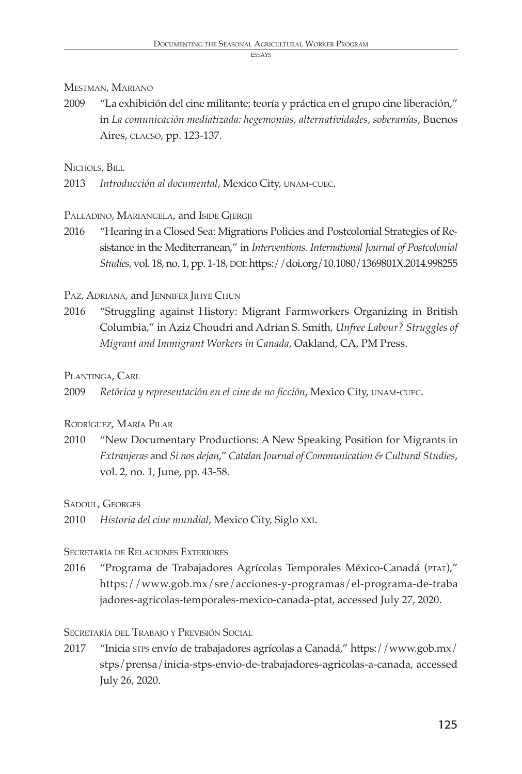## Mestman, Mariano

2009 "La exhibición del cine militante: teoría y práctica en el grupo cine liberación," in *La comunicación mediatizada: hegemonías, alternatividades, soberanías*, Buenos Aires, clacso, pp. 123-137.

## NICHOLS, BILL

2013 *Introducción al documental*, Mexico City, unam-cuec.

## PALLADINO, MARIANGELA, and ISIDE GJERGJI

2016 "Hearing in a Closed Sea: Migrations Policies and Postcolonial Strategies of Resistance in the Mediterranean," in *Interventions. International Journal of Postcolonial Studies*, vol. 18, no. 1, pp. 1-18, DOI: https://doi.org/10.1080/1369801X.2014.998255

## Paz, Adriana, and JENNIFER JIHYE CHUN

2016 "Struggling against History: Migrant Farmworkers Organizing in British Columbia," in Aziz Choudri and Adrian S. Smith, *Unfree Labour? Struggles of Migrant and Immigrant Workers in Canada*, Oakland, CA, PM Press.

## PLANTINGA, CARL

2009 *Retórica y representación en el cine de no ficción*, Mexico City, unam-cuec.

## Rodríguez, María Pilar

2010 "New Documentary Productions: A New Speaking Position for Migrants in *Extranjeras* and *Si nos dejan*," *Catalan Journal of Communication & Cultural Studies*, vol. 2, no. 1, June, pp. 43-58.

## Sadoul, Georges

2010 *Historia del cine mundial*, Mexico City, Siglo XXI.

## Secretaría de Relaciones Exteriores

2016 "Programa de Trabajadores Agrícolas Temporales México-Canadá (PTAT)," https://www.gob.mx/sre/acciones-y-programas/el-programa-de-traba jadores-agricolas-temporales-mexico-canada-ptat, accessed July 27, 2020.

## Secretaría del Trabajo <sup>y</sup> Previsión Social

2017 "Inicia stps envío de trabajadores agrícolas a Canadá," https://www.gob.mx/ stps/prensa/inicia-stps-envio-de-trabajadores-agricolas-a-canada, accessed July 26, 2020.